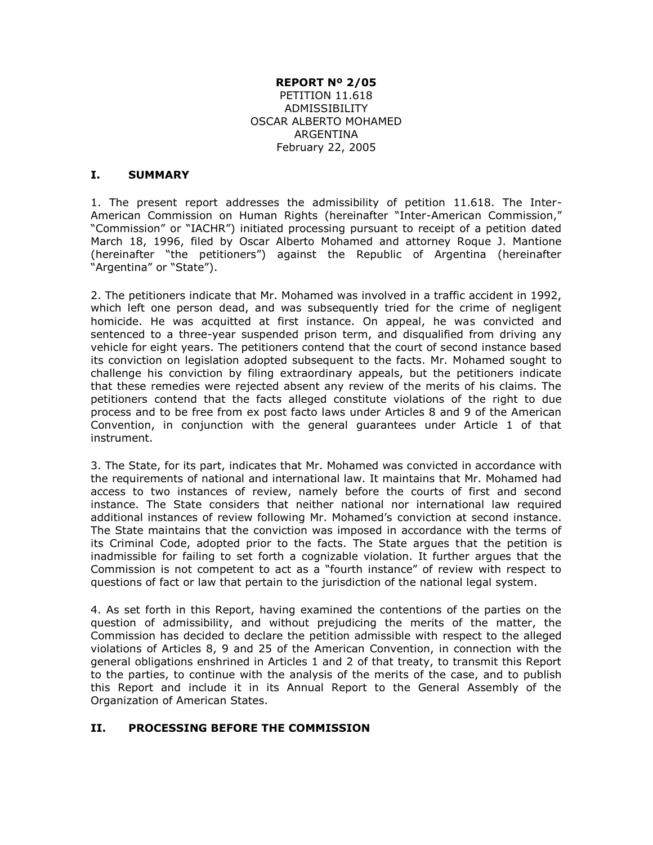#### **REPORT Nº 2/05**

PETITION 11.618 ADMISSIBILITY OSCAR ALBERTO MOHAMED ARGENTINA February 22, 2005

#### **I. SUMMARY**

1. The present report addresses the admissibility of petition 11.618. The Inter-American Commission on Human Rights (hereinafter "Inter-American Commission," "Commission" or "IACHR") initiated processing pursuant to receipt of a petition dated March 18, 1996, filed by Oscar Alberto Mohamed and attorney Roque J. Mantione (hereinafter "the petitioners") against the Republic of Argentina (hereinafter "Argentina" or "State").

2. The petitioners indicate that Mr. Mohamed was involved in a traffic accident in 1992, which left one person dead, and was subsequently tried for the crime of negligent homicide. He was acquitted at first instance. On appeal, he was convicted and sentenced to a three-year suspended prison term, and disqualified from driving any vehicle for eight years. The petitioners contend that the court of second instance based its conviction on legislation adopted subsequent to the facts. Mr. Mohamed sought to challenge his conviction by filing extraordinary appeals, but the petitioners indicate that these remedies were rejected absent any review of the merits of his claims. The petitioners contend that the facts alleged constitute violations of the right to due process and to be free from ex post facto laws under Articles 8 and 9 of the American Convention, in conjunction with the general guarantees under Article 1 of that instrument.

3. The State, for its part, indicates that Mr. Mohamed was convicted in accordance with the requirements of national and international law. It maintains that Mr. Mohamed had access to two instances of review, namely before the courts of first and second instance. The State considers that neither national nor international law required additional instances of review following Mr. Mohamed's conviction at second instance. The State maintains that the conviction was imposed in accordance with the terms of its Criminal Code, adopted prior to the facts. The State argues that the petition is inadmissible for failing to set forth a cognizable violation. It further argues that the Commission is not competent to act as a "fourth instance" of review with respect to questions of fact or law that pertain to the jurisdiction of the national legal system.

4. As set forth in this Report, having examined the contentions of the parties on the question of admissibility, and without prejudicing the merits of the matter, the Commission has decided to declare the petition admissible with respect to the alleged violations of Articles 8, 9 and 25 of the American Convention, in connection with the general obligations enshrined in Articles 1 and 2 of that treaty, to transmit this Report to the parties, to continue with the analysis of the merits of the case, and to publish this Report and include it in its Annual Report to the General Assembly of the Organization of American States.

## **II. PROCESSING BEFORE THE COMMISSION**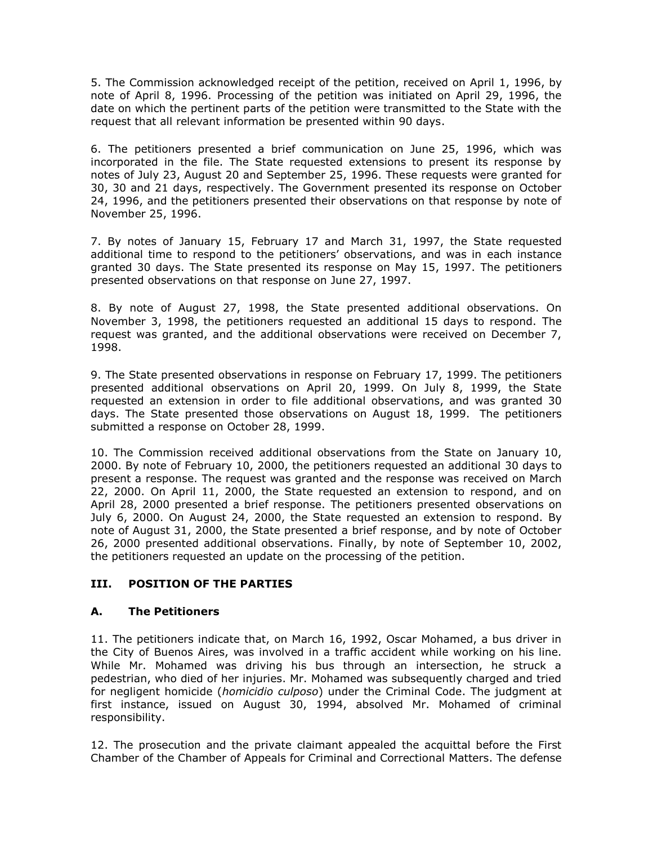5. The Commission acknowledged receipt of the petition, received on April 1, 1996, by note of April 8, 1996. Processing of the petition was initiated on April 29, 1996, the date on which the pertinent parts of the petition were transmitted to the State with the request that all relevant information be presented within 90 days.

6. The petitioners presented a brief communication on June 25, 1996, which was incorporated in the file. The State requested extensions to present its response by notes of July 23, August 20 and September 25, 1996. These requests were granted for 30, 30 and 21 days, respectively. The Government presented its response on October 24, 1996, and the petitioners presented their observations on that response by note of November 25, 1996.

7. By notes of January 15, February 17 and March 31, 1997, the State requested additional time to respond to the petitioners' observations, and was in each instance granted 30 days. The State presented its response on May 15, 1997. The petitioners presented observations on that response on June 27, 1997.

8. By note of August 27, 1998, the State presented additional observations. On November 3, 1998, the petitioners requested an additional 15 days to respond. The request was granted, and the additional observations were received on December 7, 1998.

9. The State presented observations in response on February 17, 1999. The petitioners presented additional observations on April 20, 1999. On July 8, 1999, the State requested an extension in order to file additional observations, and was granted 30 days. The State presented those observations on August 18, 1999. The petitioners submitted a response on October 28, 1999.

10. The Commission received additional observations from the State on January 10, 2000. By note of February 10, 2000, the petitioners requested an additional 30 days to present a response. The request was granted and the response was received on March 22, 2000. On April 11, 2000, the State requested an extension to respond, and on April 28, 2000 presented a brief response. The petitioners presented observations on July 6, 2000. On August 24, 2000, the State requested an extension to respond. By note of August 31, 2000, the State presented a brief response, and by note of October 26, 2000 presented additional observations. Finally, by note of September 10, 2002, the petitioners requested an update on the processing of the petition.

## **III. POSITION OF THE PARTIES**

#### **A. The Petitioners**

11. The petitioners indicate that, on March 16, 1992, Oscar Mohamed, a bus driver in the City of Buenos Aires, was involved in a traffic accident while working on his line. While Mr. Mohamed was driving his bus through an intersection, he struck a pedestrian, who died of her injuries. Mr. Mohamed was subsequently charged and tried for negligent homicide (*homicidio culposo*) under the Criminal Code. The judgment at first instance, issued on August 30, 1994, absolved Mr. Mohamed of criminal responsibility.

12. The prosecution and the private claimant appealed the acquittal before the First Chamber of the Chamber of Appeals for Criminal and Correctional Matters. The defense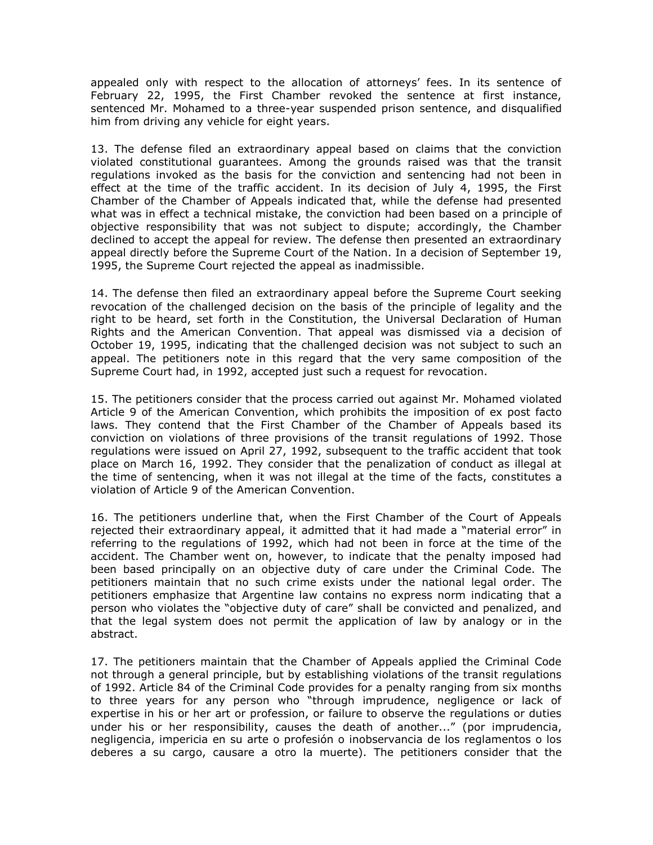appealed only with respect to the allocation of attorneys' fees. In its sentence of February 22, 1995, the First Chamber revoked the sentence at first instance, sentenced Mr. Mohamed to a three-year suspended prison sentence, and disqualified him from driving any vehicle for eight years.

13. The defense filed an extraordinary appeal based on claims that the conviction violated constitutional guarantees. Among the grounds raised was that the transit regulations invoked as the basis for the conviction and sentencing had not been in effect at the time of the traffic accident. In its decision of July 4, 1995, the First Chamber of the Chamber of Appeals indicated that, while the defense had presented what was in effect a technical mistake, the conviction had been based on a principle of objective responsibility that was not subject to dispute; accordingly, the Chamber declined to accept the appeal for review. The defense then presented an extraordinary appeal directly before the Supreme Court of the Nation. In a decision of September 19, 1995, the Supreme Court rejected the appeal as inadmissible.

14. The defense then filed an extraordinary appeal before the Supreme Court seeking revocation of the challenged decision on the basis of the principle of legality and the right to be heard, set forth in the Constitution, the Universal Declaration of Human Rights and the American Convention. That appeal was dismissed via a decision of October 19, 1995, indicating that the challenged decision was not subject to such an appeal. The petitioners note in this regard that the very same composition of the Supreme Court had, in 1992, accepted just such a request for revocation.

15. The petitioners consider that the process carried out against Mr. Mohamed violated Article 9 of the American Convention, which prohibits the imposition of ex post facto laws. They contend that the First Chamber of the Chamber of Appeals based its conviction on violations of three provisions of the transit regulations of 1992. Those regulations were issued on April 27, 1992, subsequent to the traffic accident that took place on March 16, 1992. They consider that the penalization of conduct as illegal at the time of sentencing, when it was not illegal at the time of the facts, constitutes a violation of Article 9 of the American Convention.

16. The petitioners underline that, when the First Chamber of the Court of Appeals rejected their extraordinary appeal, it admitted that it had made a "material error" in referring to the regulations of 1992, which had not been in force at the time of the accident. The Chamber went on, however, to indicate that the penalty imposed had been based principally on an objective duty of care under the Criminal Code. The petitioners maintain that no such crime exists under the national legal order. The petitioners emphasize that Argentine law contains no express norm indicating that a person who violates the "objective duty of care" shall be convicted and penalized, and that the legal system does not permit the application of law by analogy or in the abstract.

17. The petitioners maintain that the Chamber of Appeals applied the Criminal Code not through a general principle, but by establishing violations of the transit regulations of 1992. Article 84 of the Criminal Code provides for a penalty ranging from six months to three years for any person who "through imprudence, negligence or lack of expertise in his or her art or profession, or failure to observe the regulations or duties under his or her responsibility, causes the death of another..." (por imprudencia, negligencia, impericia en su arte o profesión o inobservancia de los reglamentos o los deberes a su cargo, causare a otro la muerte). The petitioners consider that the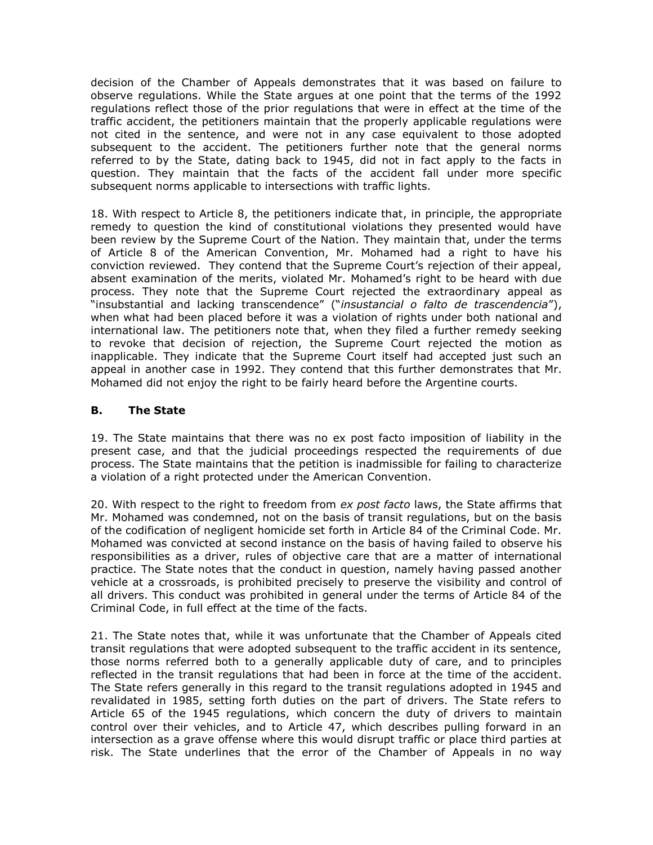decision of the Chamber of Appeals demonstrates that it was based on failure to observe regulations. While the State argues at one point that the terms of the 1992 regulations reflect those of the prior regulations that were in effect at the time of the traffic accident, the petitioners maintain that the properly applicable regulations were not cited in the sentence, and were not in any case equivalent to those adopted subsequent to the accident. The petitioners further note that the general norms referred to by the State, dating back to 1945, did not in fact apply to the facts in question. They maintain that the facts of the accident fall under more specific subsequent norms applicable to intersections with traffic lights.

18. With respect to Article 8, the petitioners indicate that, in principle, the appropriate remedy to question the kind of constitutional violations they presented would have been review by the Supreme Court of the Nation. They maintain that, under the terms of Article 8 of the American Convention, Mr. Mohamed had a right to have his conviction reviewed. They contend that the Supreme Court's rejection of their appeal, absent examination of the merits, violated Mr. Mohamed's right to be heard with due process. They note that the Supreme Court rejected the extraordinary appeal as "insubstantial and lacking transcendence" ("*insustancial o falto de trascendencia*"), when what had been placed before it was a violation of rights under both national and international law. The petitioners note that, when they filed a further remedy seeking to revoke that decision of rejection, the Supreme Court rejected the motion as inapplicable. They indicate that the Supreme Court itself had accepted just such an appeal in another case in 1992. They contend that this further demonstrates that Mr. Mohamed did not enjoy the right to be fairly heard before the Argentine courts.

## **B. The State**

19. The State maintains that there was no ex post facto imposition of liability in the present case, and that the judicial proceedings respected the requirements of due process. The State maintains that the petition is inadmissible for failing to characterize a violation of a right protected under the American Convention.

20. With respect to the right to freedom from *ex post facto* laws, the State affirms that Mr. Mohamed was condemned, not on the basis of transit regulations, but on the basis of the codification of negligent homicide set forth in Article 84 of the Criminal Code. Mr. Mohamed was convicted at second instance on the basis of having failed to observe his responsibilities as a driver, rules of objective care that are a matter of international practice. The State notes that the conduct in question, namely having passed another vehicle at a crossroads, is prohibited precisely to preserve the visibility and control of all drivers. This conduct was prohibited in general under the terms of Article 84 of the Criminal Code, in full effect at the time of the facts.

21. The State notes that, while it was unfortunate that the Chamber of Appeals cited transit regulations that were adopted subsequent to the traffic accident in its sentence, those norms referred both to a generally applicable duty of care, and to principles reflected in the transit regulations that had been in force at the time of the accident. The State refers generally in this regard to the transit regulations adopted in 1945 and revalidated in 1985, setting forth duties on the part of drivers. The State refers to Article 65 of the 1945 regulations, which concern the duty of drivers to maintain control over their vehicles, and to Article 47, which describes pulling forward in an intersection as a grave offense where this would disrupt traffic or place third parties at risk. The State underlines that the error of the Chamber of Appeals in no way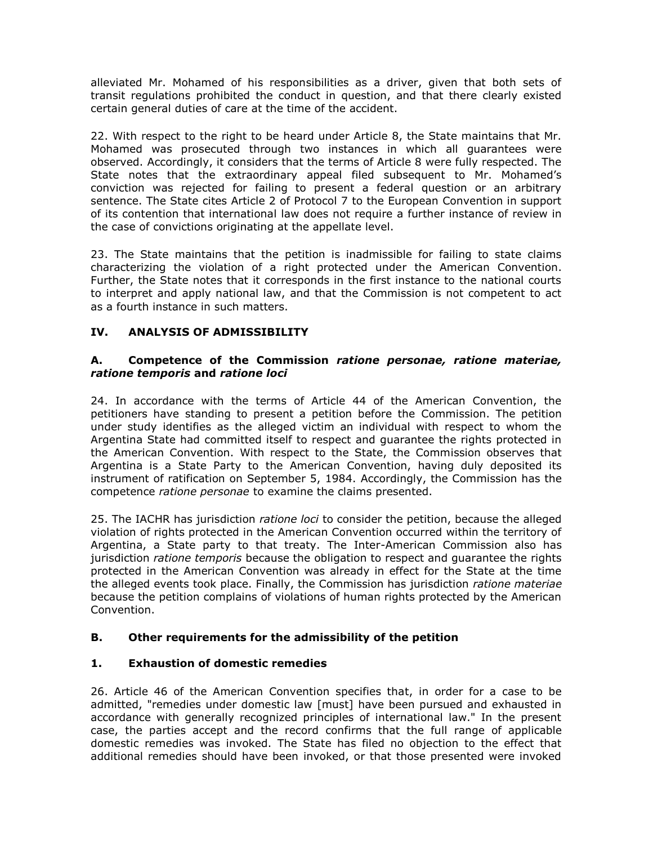alleviated Mr. Mohamed of his responsibilities as a driver, given that both sets of transit regulations prohibited the conduct in question, and that there clearly existed certain general duties of care at the time of the accident.

22. With respect to the right to be heard under Article 8, the State maintains that Mr. Mohamed was prosecuted through two instances in which all guarantees were observed. Accordingly, it considers that the terms of Article 8 were fully respected. The State notes that the extraordinary appeal filed subsequent to Mr. Mohamed's conviction was rejected for failing to present a federal question or an arbitrary sentence. The State cites Article 2 of Protocol 7 to the European Convention in support of its contention that international law does not require a further instance of review in the case of convictions originating at the appellate level.

23. The State maintains that the petition is inadmissible for failing to state claims characterizing the violation of a right protected under the American Convention. Further, the State notes that it corresponds in the first instance to the national courts to interpret and apply national law, and that the Commission is not competent to act as a fourth instance in such matters.

## **IV. ANALYSIS OF ADMISSIBILITY**

#### **A. Competence of the Commission** *ratione personae, ratione materiae, ratione temporis* **and** *ratione loci*

24. In accordance with the terms of Article 44 of the American Convention, the petitioners have standing to present a petition before the Commission. The petition under study identifies as the alleged victim an individual with respect to whom the Argentina State had committed itself to respect and guarantee the rights protected in the American Convention. With respect to the State, the Commission observes that Argentina is a State Party to the American Convention, having duly deposited its instrument of ratification on September 5, 1984. Accordingly, the Commission has the competence *ratione personae* to examine the claims presented.

25. The IACHR has jurisdiction *ratione loci* to consider the petition, because the alleged violation of rights protected in the American Convention occurred within the territory of Argentina, a State party to that treaty. The Inter-American Commission also has jurisdiction *ratione temporis* because the obligation to respect and guarantee the rights protected in the American Convention was already in effect for the State at the time the alleged events took place. Finally, the Commission has jurisdiction *ratione materiae* because the petition complains of violations of human rights protected by the American Convention.

## **B. Other requirements for the admissibility of the petition**

## **1. Exhaustion of domestic remedies**

26. Article 46 of the American Convention specifies that, in order for a case to be admitted, "remedies under domestic law [must] have been pursued and exhausted in accordance with generally recognized principles of international law." In the present case, the parties accept and the record confirms that the full range of applicable domestic remedies was invoked. The State has filed no objection to the effect that additional remedies should have been invoked, or that those presented were invoked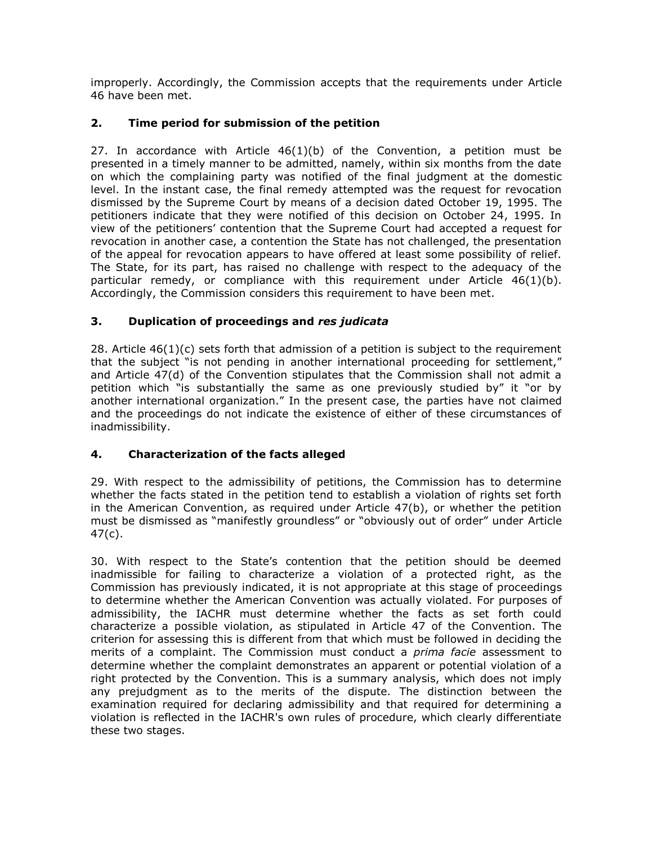improperly. Accordingly, the Commission accepts that the requirements under Article 46 have been met.

## **2. Time period for submission of the petition**

27. In accordance with Article  $46(1)(b)$  of the Convention, a petition must be presented in a timely manner to be admitted, namely, within six months from the date on which the complaining party was notified of the final judgment at the domestic level. In the instant case, the final remedy attempted was the request for revocation dismissed by the Supreme Court by means of a decision dated October 19, 1995. The petitioners indicate that they were notified of this decision on October 24, 1995. In view of the petitioners' contention that the Supreme Court had accepted a request for revocation in another case, a contention the State has not challenged, the presentation of the appeal for revocation appears to have offered at least some possibility of relief. The State, for its part, has raised no challenge with respect to the adequacy of the particular remedy, or compliance with this requirement under Article  $46(1)(b)$ . Accordingly, the Commission considers this requirement to have been met.

## **3. Duplication of proceedings and** *res judicata*

 $28.$  Article  $46(1)(c)$  sets forth that admission of a petition is subject to the requirement that the subject "is not pending in another international proceeding for settlement," and Article 47(d) of the Convention stipulates that the Commission shall not admit a petition which "is substantially the same as one previously studied by" it "or by another international organization." In the present case, the parties have not claimed and the proceedings do not indicate the existence of either of these circumstances of inadmissibility.

# **4. Characterization of the facts alleged**

29. With respect to the admissibility of petitions, the Commission has to determine whether the facts stated in the petition tend to establish a violation of rights set forth in the American Convention, as required under Article 47(b), or whether the petition must be dismissed as "manifestly groundless" or "obviously out of order" under Article 47(c).

30. With respect to the State's contention that the petition should be deemed inadmissible for failing to characterize a violation of a protected right, as the Commission has previously indicated, it is not appropriate at this stage of proceedings to determine whether the American Convention was actually violated. For purposes of admissibility, the IACHR must determine whether the facts as set forth could characterize a possible violation, as stipulated in Article 47 of the Convention. The criterion for assessing this is different from that which must be followed in deciding the merits of a complaint. The Commission must conduct a *prima facie* assessment to determine whether the complaint demonstrates an apparent or potential violation of a right protected by the Convention. This is a summary analysis, which does not imply any prejudgment as to the merits of the dispute. The distinction between the examination required for declaring admissibility and that required for determining a violation is reflected in the IACHR's own rules of procedure, which clearly differentiate these two stages.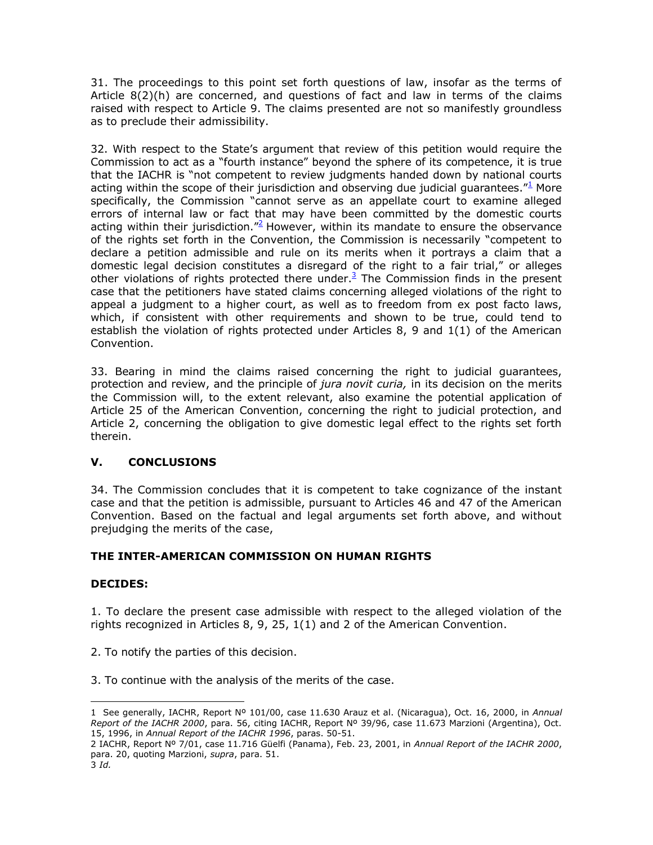31. The proceedings to this point set forth questions of law, insofar as the terms of Article  $8(2)(h)$  are concerned, and questions of fact and law in terms of the claims raised with respect to Article 9. The claims presented are not so manifestly groundless as to preclude their admissibility.

32. With respect to the State's argument that review of this petition would require the Commission to act as a "fourth instance" beyond the sphere of its competence, it is true that the IACHR is "not competent to review judgments handed down by national courts acting within the scope of their jurisdiction and observing due judicial guarantees. $1/2$  More specifically, the Commission "cannot serve as an appellate court to examine alleged errors of internal law or fact that may have been committed by the domestic courts acting within their jurisdiction."<sup>2</sup> However, within its mandate to ensure the observance of the rights set forth in the Convention, the Commission is necessarily "competent to declare a petition admissible and rule on its merits when it portrays a claim that a domestic legal decision constitutes a disregard of the right to a fair trial," or alleges other violations of rights protected there under. $3$  The Commission finds in the present case that the petitioners have stated claims concerning alleged violations of the right to appeal a judgment to a higher court, as well as to freedom from ex post facto laws, which, if consistent with other requirements and shown to be true, could tend to establish the violation of rights protected under Articles 8, 9 and  $1(1)$  of the American Convention.

33. Bearing in mind the claims raised concerning the right to judicial guarantees, protection and review, and the principle of *jura novit curia,* in its decision on the merits the Commission will, to the extent relevant, also examine the potential application of Article 25 of the American Convention, concerning the right to judicial protection, and Article 2, concerning the obligation to give domestic legal effect to the rights set forth therein.

## **V. CONCLUSIONS**

34. The Commission concludes that it is competent to take cognizance of the instant case and that the petition is admissible, pursuant to Articles 46 and 47 of the American Convention. Based on the factual and legal arguments set forth above, and without prejudging the merits of the case,

## **THE INTER-AMERICAN COMMISSION ON HUMAN RIGHTS**

#### **DECIDES:**

1. To declare the present case admissible with respect to the alleged violation of the rights recognized in Articles 8, 9, 25, 1(1) and 2 of the American Convention.

2. To notify the parties of this decision.

3. To continue with the analysis of the merits of the case.

 $\overline{a}$ 

<sup>1</sup> See generally, IACHR, Report Nº 101/00, case 11.630 Arauz et al. (Nicaragua), Oct. 16, 2000, in *Annual Report of the IACHR 2000*, para. 56, citing IACHR, Report Nº 39/96, case 11.673 Marzioni (Argentina), Oct. 15, 1996, in *Annual Report of the IACHR 1996*, paras. 50-51.

<sup>2</sup> IACHR, Report Nº 7/01, case 11.716 Güelfi (Panama), Feb. 23, 2001, in *Annual Report of the IACHR 2000*, para. 20, quoting Marzioni, *supra*, para. 51.